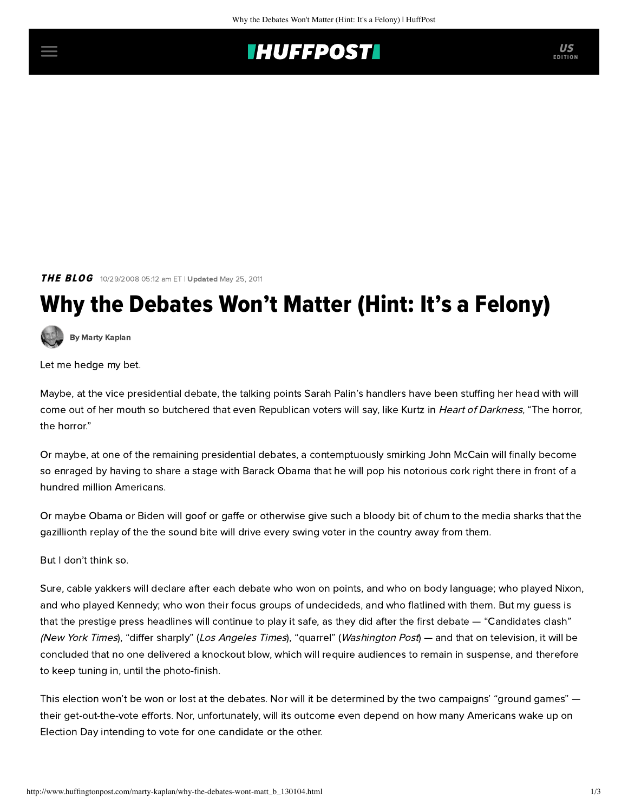## **INUFFPOSTI** US

**THE BLOG** 10/29/2008 05:12 am ET | Updated May 25, 2011

# Why the Debates Won't Matter (Hint: It's a Felony)

[By Marty Kaplan](http://www.huffingtonpost.com/author/marty-kaplan)

Let me hedge my bet.

Maybe, at the vice presidential debate, the talking points Sarah Palin's handlers have been stuffing her head with will come out of her mouth so butchered that even Republican voters will say, like Kurtz in Heart of Darkness, "The horror, the horror."

Or maybe, at one of the remaining presidential debates, a contemptuously smirking John McCain will finally become so enraged by having to share a stage with Barack Obama that he will pop his notorious cork right there in front of a hundred million Americans.

Or maybe Obama or Biden will goof or gaffe or otherwise give such a bloody bit of chum to the media sharks that the gazillionth replay of the the sound bite will drive every swing voter in the country away from them.

But I don't think so.

Sure, cable yakkers will declare after each debate who won on points, and who on body language; who played Nixon, and who played Kennedy; who won their focus groups of undecideds, and who flatlined with them. But my guess is that the prestige press headlines will continue to play it safe, as they did after the first debate — "Candidates clash" (New York Times), "differ sharply" (Los Angeles Times), "quarrel" (Washington Post) — and that on television, it will be concluded that no one delivered a knockout blow, which will require audiences to remain in suspense, and therefore to keep tuning in, until the photo-finish.

This election won't be won or lost at the debates. Nor will it be determined by the two campaigns' "ground games" their get-out-the-vote efforts. Nor, unfortunately, will its outcome even depend on how many Americans wake up on Election Day intending to vote for one candidate or the other.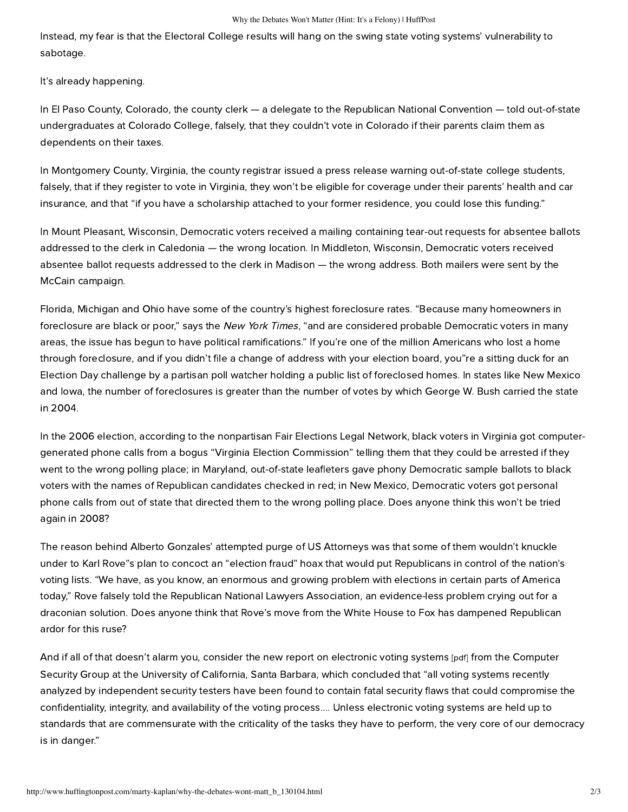#### Why the Debates Won't Matter (Hint: It's a Felony) | HuffPost

Instead, my fear is that the Electoral College results will hang on the swing state voting systems' vulnerability to sabotage.

It's already happening.

In El Paso County, Colorado, the county clerk — a delegate to the Republican National Convention — told out-of-state undergraduates at Colorado College, falsely, that [they couldn't vote in Colorado](http://www.mcclatchydc.com/100/story/53024.html) if their parents claim them as dependents on their taxes.

In Montgomery County, Virginia, the county registrar issued a press release warning out-of-state college students, falsely, that if they register to vote in Virginia, [they won't be eligible for coverage](http://www.insidehighered.com/news/2008/09/03/voting) under their parents' health and car insurance, and that "if you have a scholarship attached to your former residence, you could lose this funding."

In Mount Pleasant, Wisconsin, Democratic voters received a mailing containing tear-out requests for absentee ballots addressed to the clerk in Caledonia — [the wrong location](http://news.racinepost.com/2008/09/gop-absentee-ballot-mailings-called.html). In Middleton, Wisconsin, Democratic voters received absentee ballot requests addressed to the clerk in Madison — the wrong address. Both mailers were sent by the McCain campaign.

Florida, Michigan and Ohio have some of the country's highest foreclosure rates. "Because many homeowners in foreclosure are black or poor," [says the](http://www.nytimes.com/2008/09/25/us/politics/25voting.html) New York Times, "and are considered probable Democratic voters in many areas, the issue has begun to have political ramifications." If you're one of the million Americans who lost a home through foreclosure, and if you didn't file a change of address with your election board, you"re a sitting duck for an [Election Day challenge by a partisan poll watcher holding a public list of foreclosed homes. In states like New Mexi](http://www.nytimes.com/2008/09/25/us/politics/25voting.html)co and Iowa, the number of foreclosures is greater than the number of votes by which George W. Bush carried the state in 2004.

In the 2006 election, according to the nonpartisan [Fair Elections Legal Network](http://www.fairelectionsnetwork.com/index.cfm?fuseaction=page.viewPage&pageID=577&nodeID=1), black voters in Virginia got computergenerated phone calls from a bogus "Virginia Election Commission" telling them that they could be arrested if they went to the wrong polling place; in Maryland, out-of-state leafleters gave phony Democratic sample ballots to black voters with the names of Republican candidates checked in red; in New Mexico, Democratic voters got personal phone calls from out of state that directed them to the wrong polling place. Does anyone think this won't be tried again in 2008?

The reason behind Alberto Gonzales' attempted purge of US Attorneys was that some of them wouldn't knuckle under to Karl [Rove"s plan to concoct an "election fraud"](http://www.salon.com/opinion/feature/2007/05/10/voting_rights/) hoax that would put Republicans in control of the nation's voting lists. "We have, as you know, an enormous and growing problem with elections in certain parts of America today," Rove falsely told the Republican National Lawyers Association, an evidence-less problem crying out for a draconian solution. Does anyone think that Rove's move from the White House to Fox has dampened Republican ardor for this ruse?

And if all of that doesn't alarm you, consider the [new report on electronic voting systems](http://www.cs.ucsb.edu/~seclab/projects/voting/issta08_voting.pdf) [pdf] from the Computer Security Group at the University of California, Santa Barbara, which concluded that "all voting systems recently analyzed by independent security testers have been found to contain fatal security flaws that could compromise the confidentiality, integrity, and availability of the voting process.... Unless electronic voting systems are held up to standards that are commensurate with the criticality of the tasks they have to perform, the very core of our democracy is in danger."